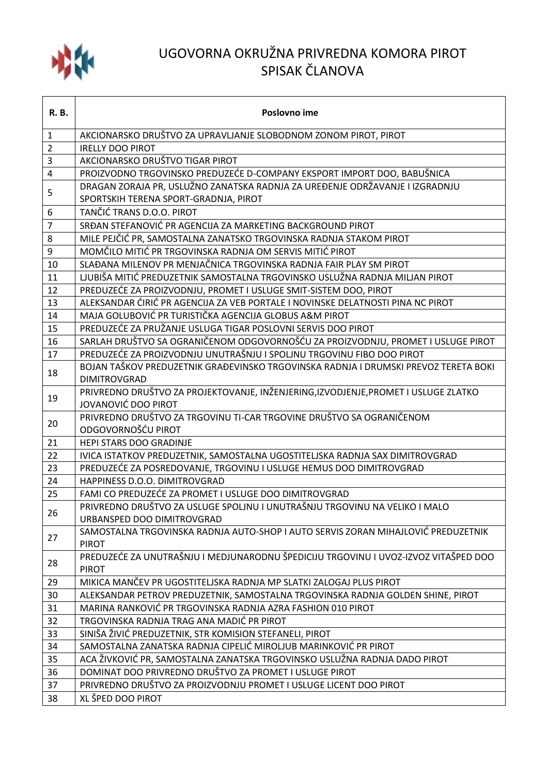

## UGOVORNA OKRUŽNA PRIVREDNA KOMORA PIROT SPISAK ČLANOVA

| <b>R.B.</b>    | Poslovno ime                                                                                               |
|----------------|------------------------------------------------------------------------------------------------------------|
| $\mathbf{1}$   | AKCIONARSKO DRUŠTVO ZA UPRAVLJANJE SLOBODNOM ZONOM PIROT, PIROT                                            |
| $\overline{2}$ | <b>IRELLY DOO PIROT</b>                                                                                    |
| 3              | AKCIONARSKO DRUŠTVO TIGAR PIROT                                                                            |
| $\overline{4}$ | PROIZVODNO TRGOVINSKO PREDUZEĆE D-COMPANY EKSPORT IMPORT DOO, BABUŠNICA                                    |
| 5              | DRAGAN ZORAJA PR, USLUŽNO ZANATSKA RADNJA ZA UREĐENJE ODRŽAVANJE I IZGRADNJU                               |
|                | SPORTSKIH TERENA SPORT-GRADNJA, PIROT                                                                      |
| 6              | TANČIĆ TRANS D.O.O. PIROT                                                                                  |
| $\overline{7}$ | SRĐAN STEFANOVIĆ PR AGENCIJA ZA MARKETING BACKGROUND PIROT                                                 |
| 8              | MILE PEJČIĆ PR, SAMOSTALNA ZANATSKO TRGOVINSKA RADNJA STAKOM PIROT                                         |
| 9              | MOMČILO MITIĆ PR TRGOVINSKA RADNJA OM SERVIS MITIĆ PIROT                                                   |
| 10             | SLAĐANA MILENOV PR MENJAČNICA TRGOVINSKA RADNJA FAIR PLAY SM PIROT                                         |
| 11             | LJUBIŠA MITIĆ PREDUZETNIK SAMOSTALNA TRGOVINSKO USLUŽNA RADNJA MILJAN PIROT                                |
| 12             | PREDUZEĆE ZA PROIZVODNJU, PROMET I USLUGE SMIT-SISTEM DOO, PIROT                                           |
| 13             | ALEKSANDAR ĆIRIĆ PR AGENCIJA ZA VEB PORTALE I NOVINSKE DELATNOSTI PINA NC PIROT                            |
| 14             | MAJA GOLUBOVIĆ PR TURISTIČKA AGENCIJA GLOBUS A&M PIROT                                                     |
| 15             | PREDUZEĆE ZA PRUŽANJE USLUGA TIGAR POSLOVNI SERVIS DOO PIROT                                               |
| 16             | SARLAH DRUŠTVO SA OGRANIČENOM ODGOVORNOŠĆU ZA PROIZVODNJU, PROMET I USLUGE PIROT                           |
| 17             | PREDUZEĆE ZA PROIZVODNJU UNUTRAŠNJU I SPOLJNU TRGOVINU FIBO DOO PIROT                                      |
| 18             | BOJAN TAŠKOV PREDUZETNIK GRAĐEVINSKO TRGOVINSKA RADNJA I DRUMSKI PREVOZ TERETA BOKI<br><b>DIMITROVGRAD</b> |
| 19             | PRIVREDNO DRUŠTVO ZA PROJEKTOVANJE, INŽENJERING, IZVODJENJE, PROMET I USLUGE ZLATKO<br>JOVANOVIĆ DOO PIROT |
| 20             | PRIVREDNO DRUŠTVO ZA TRGOVINU TI-CAR TRGOVINE DRUŠTVO SA OGRANIČENOM<br>ODGOVORNOŠĆU PIROT                 |
| 21             | HEPI STARS DOO GRADINJE                                                                                    |
| 22             | IVICA ISTATKOV PREDUZETNIK, SAMOSTALNA UGOSTITELJSKA RADNJA SAX DIMITROVGRAD                               |
| 23             | PREDUZEĆE ZA POSREDOVANJE, TRGOVINU I USLUGE HEMUS DOO DIMITROVGRAD                                        |
| 24             | HAPPINESS D.O.O. DIMITROVGRAD                                                                              |
| 25             | FAMI CO PREDUZEĆE ZA PROMET I USLUGE DOO DIMITROVGRAD                                                      |
| 26             | PRIVREDNO DRUŠTVO ZA USLUGE SPOLJNU I UNUTRAŠNJU TRGOVINU NA VELIKO I MALO<br>URBANSPED DOO DIMITROVGRAD   |
| 27             | SAMOSTALNA TRGOVINSKA RADNJA AUTO-SHOP I AUTO SERVIS ZORAN MIHAJLOVIĆ PREDUZETNIK<br><b>PIROT</b>          |
| 28             | PREDUZEĆE ZA UNUTRAŠNJU I MEDJUNARODNU ŠPEDICIJU TRGOVINU I UVOZ-IZVOZ VITAŠPED DOO<br><b>PIROT</b>        |
| 29             | MIKICA MANČEV PR UGOSTITELJSKA RADNJA MP SLATKI ZALOGAJ PLUS PIROT                                         |
| 30             | ALEKSANDAR PETROV PREDUZETNIK, SAMOSTALNA TRGOVINSKA RADNJA GOLDEN SHINE, PIROT                            |
| 31             | MARINA RANKOVIĆ PR TRGOVINSKA RADNJA AZRA FASHION 010 PIROT                                                |
| 32             | TRGOVINSKA RADNJA TRAG ANA MADIĆ PR PIROT                                                                  |
| 33             | SINIŠA ŽIVIĆ PREDUZETNIK, STR KOMISION STEFANELI, PIROT                                                    |
| 34             | SAMOSTALNA ZANATSKA RADNJA CIPELIĆ MIROLJUB MARINKOVIĆ PR PIROT                                            |
| 35             | ACA ŽIVKOVIĆ PR, SAMOSTALNA ZANATSKA TRGOVINSKO USLUŽNA RADNJA DADO PIROT                                  |
| 36             | DOMINAT DOO PRIVREDNO DRUŠTVO ZA PROMET I USLUGE PIROT                                                     |
| 37             | PRIVREDNO DRUŠTVO ZA PROIZVODNJU PROMET I USLUGE LICENT DOO PIROT                                          |
| 38             | XL ŠPED DOO PIROT                                                                                          |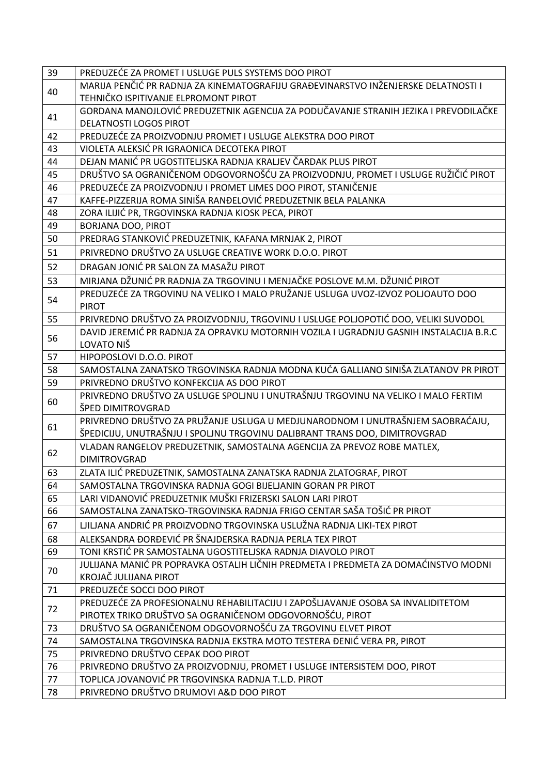| 39 | PREDUZEĆE ZA PROMET I USLUGE PULS SYSTEMS DOO PIROT                                                                                          |
|----|----------------------------------------------------------------------------------------------------------------------------------------------|
| 40 | MARIJA PENČIĆ PR RADNJA ZA KINEMATOGRAFIJU GRAĐEVINARSTVO INŽENJERSKE DELATNOSTI I                                                           |
|    | TEHNIČKO ISPITIVANJE ELPROMONT PIROT                                                                                                         |
| 41 | GORDANA MANOJLOVIĆ PREDUZETNIK AGENCIJA ZA PODUČAVANJE STRANIH JEZIKA I PREVODILAČKE                                                         |
|    | <b>DELATNOSTI LOGOS PIROT</b>                                                                                                                |
| 42 | PREDUZEĆE ZA PROIZVODNJU PROMET I USLUGE ALEKSTRA DOO PIROT                                                                                  |
| 43 | VIOLETA ALEKSIĆ PR IGRAONICA DECOTEKA PIROT                                                                                                  |
| 44 | DEJAN MANIĆ PR UGOSTITELJSKA RADNJA KRALJEV ČARDAK PLUS PIROT                                                                                |
| 45 | DRUŠTVO SA OGRANIČENOM ODGOVORNOŠĆU ZA PROIZVODNJU, PROMET I USLUGE RUŽIČIĆ PIROT                                                            |
| 46 | PREDUZEĆE ZA PROIZVODNJU I PROMET LIMES DOO PIROT, STANIČENJE                                                                                |
| 47 | KAFFE-PIZZERIJA ROMA SINIŠA RANĐELOVIĆ PREDUZETNIK BELA PALANKA                                                                              |
| 48 | ZORA ILIJIĆ PR, TRGOVINSKA RADNJA KIOSK PECA, PIROT                                                                                          |
| 49 | <b>BORJANA DOO, PIROT</b>                                                                                                                    |
| 50 | PREDRAG STANKOVIĆ PREDUZETNIK, KAFANA MRNJAK 2, PIROT                                                                                        |
| 51 | PRIVREDNO DRUŠTVO ZA USLUGE CREATIVE WORK D.O.O. PIROT                                                                                       |
| 52 | DRAGAN JONIĆ PR SALON ZA MASAŽU PIROT                                                                                                        |
| 53 | MIRJANA DŽUNIĆ PR RADNJA ZA TRGOVINU I MENJAČKE POSLOVE M.M. DŽUNIĆ PIROT                                                                    |
|    | PREDUZEĆE ZA TRGOVINU NA VELIKO I MALO PRUŽANJE USLUGA UVOZ-IZVOZ POLJOAUTO DOO                                                              |
| 54 | <b>PIROT</b>                                                                                                                                 |
| 55 | PRIVREDNO DRUŠTVO ZA PROIZVODNJU, TRGOVINU I USLUGE POLJOPOTIĆ DOO, VELIKI SUVODOL                                                           |
| 56 | DAVID JEREMIĆ PR RADNJA ZA OPRAVKU MOTORNIH VOZILA I UGRADNJU GASNIH INSTALACIJA B.R.C                                                       |
|    | LOVATO NIŠ                                                                                                                                   |
| 57 | HIPOPOSLOVI D.O.O. PIROT                                                                                                                     |
| 58 | SAMOSTALNA ZANATSKO TRGOVINSKA RADNJA MODNA KUĆA GALLIANO SINIŠA ZLATANOV PR PIROT                                                           |
| 59 | PRIVREDNO DRUŠTVO KONFEKCIJA AS DOO PIROT                                                                                                    |
| 60 | PRIVREDNO DRUŠTVO ZA USLUGE SPOLJNU I UNUTRAŠNJU TRGOVINU NA VELIKO I MALO FERTIM                                                            |
|    | ŠPED DIMITROVGRAD                                                                                                                            |
| 61 | PRIVREDNO DRUŠTVO ZA PRUŽANJE USLUGA U MEDJUNARODNOM I UNUTRAŠNJEM SAOBRAĆAJU,                                                               |
|    | ŠPEDICIJU, UNUTRAŠNJU I SPOLJNU TRGOVINU DALIBRANT TRANS DOO, DIMITROVGRAD                                                                   |
| 62 | VLADAN RANGELOV PREDUZETNIK, SAMOSTALNA AGENCIJA ZA PREVOZ ROBE MATLEX,                                                                      |
|    | <b>DIMITROVGRAD</b>                                                                                                                          |
| 63 | ZLATA ILIĆ PREDUZETNIK, SAMOSTALNA ZANATSKA RADNJA ZLATOGRAF, PIROT                                                                          |
| 64 | SAMOSTALNA TRGOVINSKA RADNJA GOGI BIJELJANIN GORAN PR PIROT                                                                                  |
| 65 | LARI VIDANOVIĆ PREDUZETNIK MUŠKI FRIZERSKI SALON LARI PIROT                                                                                  |
| 66 | SAMOSTALNA ZANATSKO-TRGOVINSKA RADNJA FRIGO CENTAR SAŠA TOŠIĆ PR PIROT                                                                       |
| 67 | LJILJANA ANDRIĆ PR PROIZVODNO TRGOVINSKA USLUŽNA RADNJA LIKI-TEX PIROT                                                                       |
| 68 | ALEKSANDRA ĐORĐEVIĆ PR ŠNAJDERSKA RADNJA PERLA TEX PIROT                                                                                     |
| 69 | TONI KRSTIĆ PR SAMOSTALNA UGOSTITELJSKA RADNJA DIAVOLO PIROT                                                                                 |
| 70 | JULIJANA MANIĆ PR POPRAVKA OSTALIH LIČNIH PREDMETA I PREDMETA ZA DOMAĆINSTVO MODNI                                                           |
|    | KROJAČ JULIJANA PIROT                                                                                                                        |
| 71 | PREDUZEĆE SOCCI DOO PIROT                                                                                                                    |
| 72 | PREDUZEĆE ZA PROFESIONALNU REHABILITACIJU I ZAPOŠLJAVANJE OSOBA SA INVALIDITETOM<br>PIROTEX TRIKO DRUŠTVO SA OGRANIČENOM ODGOVORNOŠĆU, PIROT |
| 73 | DRUŠTVO SA OGRANIČENOM ODGOVORNOŠĆU ZA TRGOVINU ELVET PIROT                                                                                  |
| 74 | SAMOSTALNA TRGOVINSKA RADNJA EKSTRA MOTO TESTERA ĐENIĆ VERA PR, PIROT                                                                        |
| 75 | PRIVREDNO DRUŠTVO CEPAK DOO PIROT                                                                                                            |
| 76 | PRIVREDNO DRUŠTVO ZA PROIZVODNJU, PROMET I USLUGE INTERSISTEM DOO, PIROT                                                                     |
| 77 | TOPLICA JOVANOVIĆ PR TRGOVINSKA RADNJA T.L.D. PIROT                                                                                          |
| 78 | PRIVREDNO DRUŠTVO DRUMOVI A&D DOO PIROT                                                                                                      |
|    |                                                                                                                                              |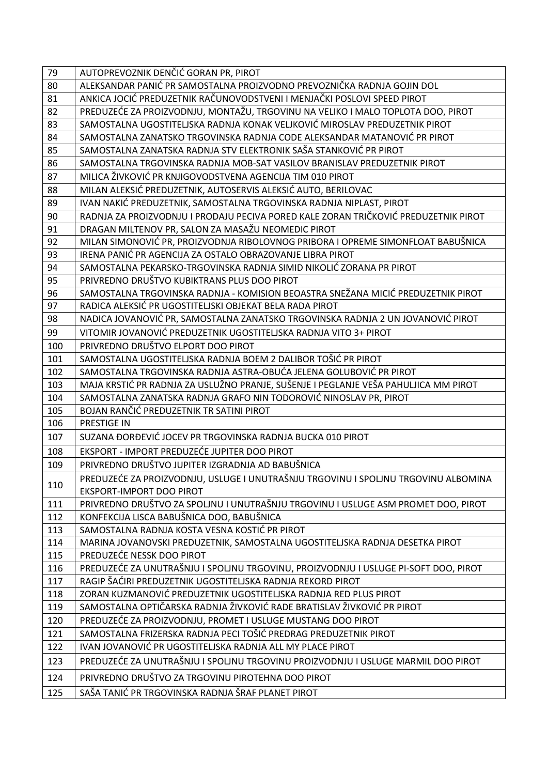| 79  | AUTOPREVOZNIK DENČIĆ GORAN PR, PIROT                                                |
|-----|-------------------------------------------------------------------------------------|
| 80  | ALEKSANDAR PANIĆ PR SAMOSTALNA PROIZVODNO PREVOZNIČKA RADNJA GOJIN DOL              |
| 81  | ANKICA JOCIĆ PREDUZETNIK RAČUNOVODSTVENI I MENJAČKI POSLOVI SPEED PIROT             |
| 82  | PREDUZEĆE ZA PROIZVODNJU, MONTAŽU, TRGOVINU NA VELIKO I MALO TOPLOTA DOO, PIROT     |
| 83  | SAMOSTALNA UGOSTITELJSKA RADNJA KONAK VELJKOVIĆ MIROSLAV PREDUZETNIK PIROT          |
| 84  | SAMOSTALNA ZANATSKO TRGOVINSKA RADNJA CODE ALEKSANDAR MATANOVIĆ PR PIROT            |
| 85  | SAMOSTALNA ZANATSKA RADNJA STV ELEKTRONIK SAŠA STANKOVIĆ PR PIROT                   |
| 86  | SAMOSTALNA TRGOVINSKA RADNJA MOB-SAT VASILOV BRANISLAV PREDUZETNIK PIROT            |
| 87  | MILICA ŽIVKOVIĆ PR KNJIGOVODSTVENA AGENCIJA TIM 010 PIROT                           |
| 88  | MILAN ALEKSIĆ PREDUZETNIK, AUTOSERVIS ALEKSIĆ AUTO, BERILOVAC                       |
| 89  | IVAN NAKIĆ PREDUZETNIK, SAMOSTALNA TRGOVINSKA RADNJA NIPLAST, PIROT                 |
| 90  | RADNJA ZA PROIZVODNJU I PRODAJU PECIVA PORED KALE ZORAN TRIČKOVIĆ PREDUZETNIK PIROT |
| 91  | DRAGAN MILTENOV PR, SALON ZA MASAŽU NEOMEDIC PIROT                                  |
| 92  | MILAN SIMONOVIĆ PR, PROIZVODNJA RIBOLOVNOG PRIBORA I OPREME SIMONFLOAT BABUŠNICA    |
| 93  | IRENA PANIĆ PR AGENCIJA ZA OSTALO OBRAZOVANJE LIBRA PIROT                           |
| 94  | SAMOSTALNA PEKARSKO-TRGOVINSKA RADNJA SIMID NIKOLIĆ ZORANA PR PIROT                 |
| 95  | PRIVREDNO DRUŠTVO KUBIKTRANS PLUS DOO PIROT                                         |
| 96  | SAMOSTALNA TRGOVINSKA RADNJA - KOMISION BEOASTRA SNEŽANA MICIĆ PREDUZETNIK PIROT    |
| 97  | RADICA ALEKSIĆ PR UGOSTITELJSKI OBJEKAT BELA RADA PIROT                             |
| 98  | NADICA JOVANOVIĆ PR, SAMOSTALNA ZANATSKO TRGOVINSKA RADNJA 2 UN JOVANOVIĆ PIROT     |
| 99  | VITOMIR JOVANOVIĆ PREDUZETNIK UGOSTITELJSKA RADNJA VITO 3+ PIROT                    |
| 100 | PRIVREDNO DRUŠTVO ELPORT DOO PIROT                                                  |
| 101 | SAMOSTALNA UGOSTITELJSKA RADNJA BOEM 2 DALIBOR TOŠIĆ PR PIROT                       |
| 102 | SAMOSTALNA TRGOVINSKA RADNJA ASTRA-OBUĆA JELENA GOLUBOVIĆ PR PIROT                  |
| 103 | MAJA KRSTIĆ PR RADNJA ZA USLUŽNO PRANJE, SUŠENJE I PEGLANJE VEŠA PAHULJICA MM PIROT |
| 104 | SAMOSTALNA ZANATSKA RADNJA GRAFO NIN TODOROVIĆ NINOSLAV PR, PIROT                   |
| 105 | BOJAN RANČIĆ PREDUZETNIK TR SATINI PIROT                                            |
| 106 | <b>PRESTIGE IN</b>                                                                  |
| 107 | SUZANA ĐORĐEVIĆ JOCEV PR TRGOVINSKA RADNJA BUCKA 010 PIROT                          |
| 108 | EKSPORT - IMPORT PREDUZEĆE JUPITER DOO PIROT                                        |
| 109 | PRIVREDNO DRUŠTVO JUPITER IZGRADNJA AD BABUŠNICA                                    |
| 110 | PREDUZEĆE ZA PROIZVODNJU, USLUGE I UNUTRAŠNJU TRGOVINU I SPOLJNU TRGOVINU ALBOMINA  |
|     | <b>EKSPORT-IMPORT DOO PIROT</b>                                                     |
| 111 | PRIVREDNO DRUŠTVO ZA SPOLJNU I UNUTRAŠNJU TRGOVINU I USLUGE ASM PROMET DOO, PIROT   |
| 112 | KONFEKCIJA LISCA BABUŠNICA DOO, BABUŠNICA                                           |
| 113 | SAMOSTALNA RADNJA KOSTA VESNA KOSTIĆ PR PIROT                                       |
| 114 | MARINA JOVANOVSKI PREDUZETNIK, SAMOSTALNA UGOSTITELJSKA RADNJA DESETKA PIROT        |
| 115 | PREDUZEĆE NESSK DOO PIROT                                                           |
| 116 | PREDUZEĆE ZA UNUTRAŠNJU I SPOLJNU TRGOVINU, PROIZVODNJU I USLUGE PI-SOFT DOO, PIROT |
| 117 | RAGIP ŠAĆIRI PREDUZETNIK UGOSTITELJSKA RADNJA REKORD PIROT                          |
| 118 | ZORAN KUZMANOVIĆ PREDUZETNIK UGOSTITELJSKA RADNJA RED PLUS PIROT                    |
| 119 | SAMOSTALNA OPTIČARSKA RADNJA ŽIVKOVIĆ RADE BRATISLAV ŽIVKOVIĆ PR PIROT              |
| 120 | PREDUZEĆE ZA PROIZVODNJU, PROMET I USLUGE MUSTANG DOO PIROT                         |
| 121 | SAMOSTALNA FRIZERSKA RADNJA PECI TOŠIĆ PREDRAG PREDUZETNIK PIROT                    |
| 122 | IVAN JOVANOVIĆ PR UGOSTITELJSKA RADNJA ALL MY PLACE PIROT                           |
| 123 | PREDUZEĆE ZA UNUTRAŠNJU I SPOLJNU TRGOVINU PROIZVODNJU I USLUGE MARMIL DOO PIROT    |
| 124 | PRIVREDNO DRUŠTVO ZA TRGOVINU PIROTEHNA DOO PIROT                                   |
| 125 | SAŠA TANIĆ PR TRGOVINSKA RADNJA ŠRAF PLANET PIROT                                   |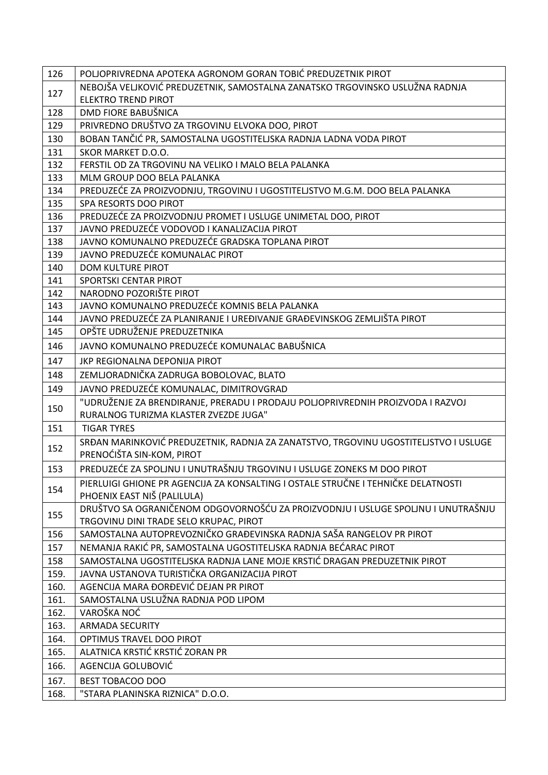| NEBOJŠA VELJKOVIĆ PREDUZETNIK, SAMOSTALNA ZANATSKO TRGOVINSKO USLUŽNA RADNJA<br>127                                               |  |
|-----------------------------------------------------------------------------------------------------------------------------------|--|
|                                                                                                                                   |  |
| <b>ELEKTRO TREND PIROT</b>                                                                                                        |  |
| DMD FIORE BABUŠNICA<br>128                                                                                                        |  |
| PRIVREDNO DRUŠTVO ZA TRGOVINU ELVOKA DOO, PIROT<br>129                                                                            |  |
| BOBAN TANČIĆ PR, SAMOSTALNA UGOSTITELJSKA RADNJA LADNA VODA PIROT<br>130                                                          |  |
| SKOR MARKET D.O.O.<br>131                                                                                                         |  |
| 132<br>FERSTIL OD ZA TRGOVINU NA VELIKO I MALO BELA PALANKA                                                                       |  |
| 133<br>MLM GROUP DOO BELA PALANKA                                                                                                 |  |
| 134<br>PREDUZEĆE ZA PROIZVODNJU, TRGOVINU I UGOSTITELJSTVO M.G.M. DOO BELA PALANKA                                                |  |
| 135<br>SPA RESORTS DOO PIROT                                                                                                      |  |
| PREDUZEĆE ZA PROIZVODNJU PROMET I USLUGE UNIMETAL DOO, PIROT<br>136                                                               |  |
| JAVNO PREDUZEĆE VODOVOD I KANALIZACIJA PIROT<br>137                                                                               |  |
| JAVNO KOMUNALNO PREDUZEĆE GRADSKA TOPLANA PIROT<br>138                                                                            |  |
| JAVNO PREDUZEĆE KOMUNALAC PIROT<br>139                                                                                            |  |
| 140<br><b>DOM KULTURE PIROT</b>                                                                                                   |  |
| 141<br>SPORTSKI CENTAR PIROT<br>NARODNO POZORIŠTE PIROT                                                                           |  |
| 142<br>JAVNO KOMUNALNO PREDUZEĆE KOMNIS BELA PALANKA<br>143                                                                       |  |
| JAVNO PREDUZEĆE ZA PLANIRANJE I UREĐIVANJE GRAĐEVINSKOG ZEMLJIŠTA PIROT<br>144                                                    |  |
| OPŠTE UDRUŽENJE PREDUZETNIKA<br>145                                                                                               |  |
| JAVNO KOMUNALNO PREDUZEĆE KOMUNALAC BABUŠNICA<br>146                                                                              |  |
| 147<br>JKP REGIONALNA DEPONIJA PIROT                                                                                              |  |
| ZEMLJORADNIČKA ZADRUGA BOBOLOVAC, BLATO<br>148                                                                                    |  |
| JAVNO PREDUZEĆE KOMUNALAC, DIMITROVGRAD<br>149                                                                                    |  |
| "UDRUŽENJE ZA BRENDIRANJE, PRERADU I PRODAJU POLJOPRIVREDNIH PROIZVODA I RAZVOJ                                                   |  |
| 150<br>RURALNOG TURIZMA KLASTER ZVEZDE JUGA"                                                                                      |  |
| 151<br><b>TIGAR TYRES</b>                                                                                                         |  |
| SRĐAN MARINKOVIĆ PREDUZETNIK, RADNJA ZA ZANATSTVO, TRGOVINU UGOSTITELJSTVO I USLUGE<br>152<br>PRENOĆIŠTA SIN-KOM, PIROT           |  |
| PREDUZEĆE ZA SPOLJNU I UNUTRAŠNJU TRGOVINU I USLUGE ZONEKS M DOO PIROT<br>153                                                     |  |
| PIERLUIGI GHIONE PR AGENCIJA ZA KONSALTING I OSTALE STRUČNE I TEHNIČKE DELATNOSTI                                                 |  |
| 154<br>PHOENIX EAST NIŠ (PALILULA)                                                                                                |  |
| DRUŠTVO SA OGRANIČENOM ODGOVORNOŠĆU ZA PROIZVODNJU I USLUGE SPOLJNU I UNUTRAŠNJU<br>155<br>TRGOVINU DINI TRADE SELO KRUPAC, PIROT |  |
| SAMOSTALNA AUTOPREVOZNIČKO GRAĐEVINSKA RADNJA SAŠA RANGELOV PR PIROT<br>156                                                       |  |
| NEMANJA RAKIĆ PR, SAMOSTALNA UGOSTITELJSKA RADNJA BEĆARAC PIROT<br>157                                                            |  |
| SAMOSTALNA UGOSTITELJSKA RADNJA LANE MOJE KRSTIĆ DRAGAN PREDUZETNIK PIROT<br>158                                                  |  |
| JAVNA USTANOVA TURISTIČKA ORGANIZACIJA PIROT<br>159.                                                                              |  |
| 160.<br>AGENCIJA MARA ĐORĐEVIĆ DEJAN PR PIROT                                                                                     |  |
| SAMOSTALNA USLUŽNA RADNJA POD LIPOM<br>161.                                                                                       |  |
| VAROŠKA NOĆ<br>162.                                                                                                               |  |
| <b>ARMADA SECURITY</b><br>163.                                                                                                    |  |
| 164.<br>OPTIMUS TRAVEL DOO PIROT                                                                                                  |  |
| ALATNICA KRSTIĆ KRSTIĆ ZORAN PR<br>165.                                                                                           |  |
| AGENCIJA GOLUBOVIĆ<br>166.                                                                                                        |  |
| 167.<br>BEST TOBACOO DOO                                                                                                          |  |
| 168.<br>"STARA PLANINSKA RIZNICA" D.O.O.                                                                                          |  |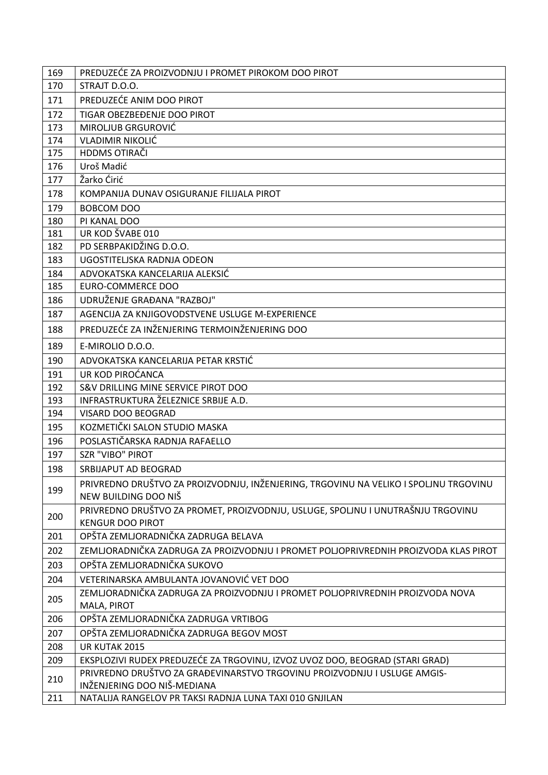| 169 | PREDUZEĆE ZA PROIZVODNJU I PROMET PIROKOM DOO PIROT                                                          |
|-----|--------------------------------------------------------------------------------------------------------------|
| 170 | STRAJT D.O.O.                                                                                                |
| 171 | PREDUZEĆE ANIM DOO PIROT                                                                                     |
| 172 | TIGAR OBEZBEĐENJE DOO PIROT                                                                                  |
| 173 | MIROLJUB GRGUROVIĆ                                                                                           |
| 174 | <b>VLADIMIR NIKOLIĆ</b>                                                                                      |
| 175 | HDDMS OTIRAČI                                                                                                |
| 176 | Uroš Madić                                                                                                   |
| 177 | Žarko Ćirić                                                                                                  |
| 178 | KOMPANIJA DUNAV OSIGURANJE FILIJALA PIROT                                                                    |
| 179 | <b>BOBCOM DOO</b>                                                                                            |
| 180 | PI KANAL DOO                                                                                                 |
| 181 | UR KOD ŠVABE 010                                                                                             |
| 182 | PD SERBPAKIDŽING D.O.O.                                                                                      |
| 183 | UGOSTITELJSKA RADNJA ODEON                                                                                   |
| 184 | ADVOKATSKA KANCELARIJA ALEKSIĆ                                                                               |
| 185 | <b>EURO-COMMERCE DOO</b>                                                                                     |
| 186 | UDRUŽENJE GRAĐANA "RAZBOJ"                                                                                   |
| 187 | AGENCIJA ZA KNJIGOVODSTVENE USLUGE M-EXPERIENCE                                                              |
| 188 | PREDUZEĆE ZA INŽENJERING TERMOINŽENJERING DOO                                                                |
| 189 | E-MIROLIO D.O.O.                                                                                             |
| 190 | ADVOKATSKA KANCELARIJA PETAR KRSTIĆ                                                                          |
| 191 | UR KOD PIROĆANCA                                                                                             |
| 192 | S&V DRILLING MINE SERVICE PIROT DOO                                                                          |
| 193 | INFRASTRUKTURA ŽELEZNICE SRBIJE A.D.                                                                         |
| 194 | VISARD DOO BEOGRAD                                                                                           |
| 195 | KOZMETIČKI SALON STUDIO MASKA                                                                                |
| 196 | POSLASTIČARSKA RADNJA RAFAELLO                                                                               |
| 197 | <b>SZR "VIBO" PIROT</b>                                                                                      |
| 198 | SRBIJAPUT AD BEOGRAD                                                                                         |
| 199 | PRIVREDNO DRUŠTVO ZA PROIZVODNJU, INŽENJERING, TRGOVINU NA VELIKO I SPOLJNU TRGOVINU<br>NEW BUILDING DOO NIŠ |
| 200 | PRIVREDNO DRUŠTVO ZA PROMET, PROIZVODNJU, USLUGE, SPOLJNU I UNUTRAŠNJU TRGOVINU<br><b>KENGUR DOO PIROT</b>   |
| 201 | OPŠTA ZEMLJORADNIČKA ZADRUGA BELAVA                                                                          |
| 202 | ZEMLJORADNIČKA ZADRUGA ZA PROIZVODNJU I PROMET POLJOPRIVREDNIH PROIZVODA KLAS PIROT                          |
| 203 | OPŠTA ZEMLJORADNIČKA SUKOVO                                                                                  |
| 204 | VETERINARSKA AMBULANTA JOVANOVIĆ VET DOO                                                                     |
| 205 | ZEMLJORADNIČKA ZADRUGA ZA PROIZVODNJU I PROMET POLJOPRIVREDNIH PROIZVODA NOVA<br>MALA, PIROT                 |
| 206 | OPŠTA ZEMLJORADNIČKA ZADRUGA VRTIBOG                                                                         |
| 207 | OPŠTA ZEMLJORADNIČKA ZADRUGA BEGOV MOST                                                                      |
| 208 | UR KUTAK 2015                                                                                                |
| 209 | EKSPLOZIVI RUDEX PREDUZEĆE ZA TRGOVINU, IZVOZ UVOZ DOO, BEOGRAD (STARI GRAD)                                 |
| 210 | PRIVREDNO DRUŠTVO ZA GRAĐEVINARSTVO TRGOVINU PROIZVODNJU I USLUGE AMGIS-<br>INŽENJERING DOO NIŠ-MEDIANA      |
| 211 | NATALIJA RANGELOV PR TAKSI RADNJA LUNA TAXI 010 GNJILAN                                                      |